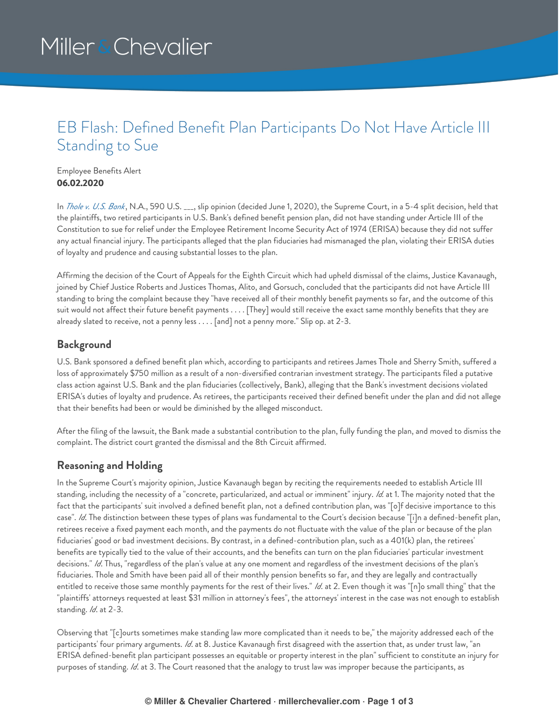# Miller & Chevalier

### EB Flash: Defined Benefit Plan Participants Do Not Have Article III Standing to Sue

Employee Benefits Alert **06.02.2020**

In *[Thole](https://www.supremecourt.gov/opinions/19pdf/17-1712_0971.pdf) v. U.S. Bank*, N.A., 590 U.S. \_\_\_, slip opinion (decided June 1, 2020), the Supreme Court, in a 5-4 split decision, held that the plaintiffs, two retired participants in U.S. Bank's defined benefit pension plan, did not have standing under Article III of the Constitution to sue for relief under the Employee Retirement Income Security Act of 1974 (ERISA) because they did not suffer any actual financial injury. The participants alleged that the plan fiduciaries had mismanaged the plan, violating their ERISA duties of loyalty and prudence and causing substantial losses to the plan.

Affirming the decision of the Court of Appeals for the Eighth Circuit which had upheld dismissal of the claims, Justice Kavanaugh, joined by Chief Justice Roberts and Justices Thomas, Alito, and Gorsuch, concluded that the participants did not have Article III standing to bring the complaint because they "have received all of their monthly benefit payments so far, and the outcome of this suit would not affect their future benefit payments . . . . [They] would still receive the exact same monthly benefits that they are already slated to receive, not a penny less . . . . [and] not a penny more." Slip op. at 2-3.

#### **Background**

U.S. Bank sponsored a defined benefit plan which, according to participants and retirees James Thole and Sherry Smith, suffered a loss of approximately \$750 million as a result of a non-diversified contrarian investment strategy. The participants filed a putative class action against U.S. Bank and the plan fiduciaries (collectively, Bank), alleging that the Bank's investment decisions violated ERISA's duties of loyalty and prudence. As retirees, the participants received their defined benefit under the plan and did not allege that their benefits had been or would be diminished by the alleged misconduct.

After the filing of the lawsuit, the Bank made a substantial contribution to the plan, fully funding the plan, and moved to dismiss the complaint. The district court granted the dismissal and the 8th Circuit affirmed.

#### **Reasoning and Holding**

In the Supreme Court's majority opinion, Justice Kavanaugh began by reciting the requirements needed to establish Article III standing, including the necessity of a "concrete, particularized, and actual or imminent" injury. *Id.* at 1. The majority noted that the fact that the participants' suit involved a defined benefit plan, not a defined contribution plan, was "[o]f decisive importance to this case". *Id*. The distinction between these types of plans was fundamental to the Court's decision because "[i]n a defined-benefit plan, retirees receive a fixed payment each month, and the payments do not fluctuate with the value of the plan or because of the plan fiduciaries' good or bad investment decisions. By contrast, in a defined-contribution plan, such as a 401(k) plan, the retirees' benefits are typically tied to the value of their accounts, and the benefits can turn on the plan fiduciaries' particular investment decisions." *Id*. Thus, "regardless of the plan's value at any one moment and regardless of the investment decisions of the plan's fiduciaries. Thole and Smith have been paid all of their monthly pension benefits so far, and they are legally and contractually entitled to receive those same monthly payments for the rest of their lives." *Id*. at 2. Even though it was "[n]o small thing" that the "plaintiffs' attorneys requested at least \$31 million in attorney's fees", the attorneys' interest in the case was not enough to establish standing. *Id*. at 2-3.

Observing that "[c]ourts sometimes make standing law more complicated than it needs to be," the majority addressed each of the participants' four primary arguments. *Id*. at 8. Justice Kavanaugh first disagreed with the assertion that, as under trust law, "an ERISA defined-benefit plan participant possesses an equitable or property interest in the plan" sufficient to constitute an injury for purposes of standing. *Id*. at 3. The Court reasoned that the analogy to trust law was improper because the participants, as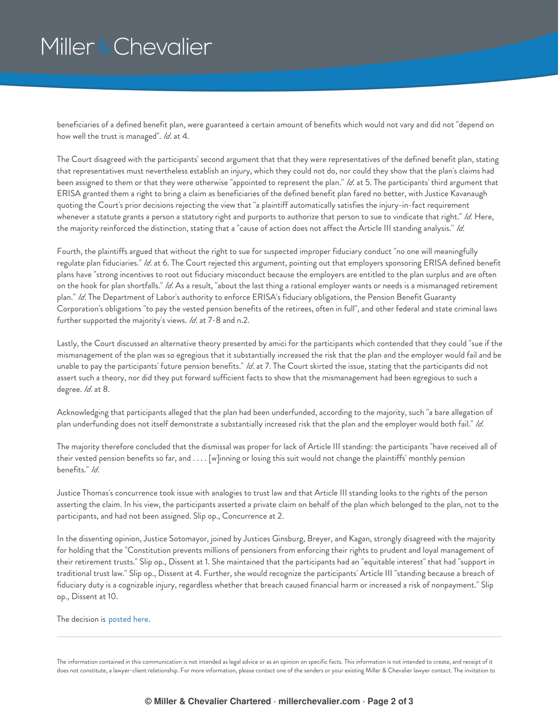## Miller & Chevalier

beneficiaries of a defined benefit plan, were guaranteed a certain amount of benefits which would not vary and did not "depend on how well the trust is managed". *Id*. at 4.

The Court disagreed with the participants' second argument that that they were representatives of the defined benefit plan, stating that representatives must nevertheless establish an injury, which they could not do, nor could they show that the plan's claims had been assigned to them or that they were otherwise "appointed to represent the plan." *Id*. at 5. The participants' third argument that ERISA granted them a right to bring a claim as beneficiaries of the defined benefit plan fared no better, with Justice Kavanaugh quoting the Court's prior decisions rejecting the view that "a plaintiff automatically satisfies the injury-in-fact requirement whenever a statute grants a person a statutory right and purports to authorize that person to sue to vindicate that right." *Id*. Here, the majority reinforced the distinction, stating that a "cause of action does not affect the Article III standing analysis." *Id*.

Fourth, the plaintiffs argued that without the right to sue for suspected improper fiduciary conduct "no one will meaningfully regulate plan fiduciaries." *Id*. at 6. The Court rejected this argument, pointing out that employers sponsoring ERISA defined benefit plans have "strong incentives to root out fiduciary misconduct because the employers are entitled to the plan surplus and are often on the hook for plan shortfalls." *Id*. As a result, "about the last thing a rational employer wants or needs is a mismanaged retirement plan." *Id*. The Department of Labor's authority to enforce ERISA's fiduciary obligations, the Pension Benefit Guaranty Corporation's obligations "to pay the vested pension benefits of the retirees, often in full", and other federal and state criminal laws further supported the majority's views. *Id*. at 7-8 and n.2.

Lastly, the Court discussed an alternative theory presented by amici for the participants which contended that they could "sue if the mismanagement of the plan was so egregious that it substantially increased the risk that the plan and the employer would fail and be unable to pay the participants' future pension benefits." *Id*. at 7. The Court skirted the issue, stating that the participants did not assert such a theory, nor did they put forward sufficient facts to show that the mismanagement had been egregious to such a degree. *Id*. at 8.

Acknowledging that participants alleged that the plan had been underfunded, according to the majority, such "a bare allegation of plan underfunding does not itself demonstrate a substantially increased risk that the plan and the employer would both fail." *Id*.

The majority therefore concluded that the dismissal was proper for lack of Article III standing: the participants "have received all of their vested pension benefits so far, and . . . . [w]inning or losing this suit would not change the plaintiffs' monthly pension benefits." *Id*.

Justice Thomas's concurrence took issue with analogies to trust law and that Article III standing looks to the rights of the person asserting the claim. In his view, the participants asserted a private claim on behalf of the plan which belonged to the plan, not to the participants, and had not been assigned. Slip op., Concurrence at 2.

In the dissenting opinion, Justice Sotomayor, joined by Justices Ginsburg, Breyer, and Kagan, strongly disagreed with the majority for holding that the "Constitution prevents millions of pensioners from enforcing their rights to prudent and loyal management of their retirement trusts." Slip op., Dissent at 1. She maintained that the participants had an "equitable interest" that had "support in traditional trust law." Slip op., Dissent at 4. Further, she would recognize the participants' Article III "standing because a breach of fiduciary duty is a cognizable injury, regardless whether that breach caused financial harm or increased a risk of nonpayment." Slip op., Dissent at 10.

The decision is [posted](https://www.supremecourt.gov/opinions/19pdf/17-1712_0971.pdf) here.

The information contained in this communication is not intended as legal advice or as an opinion on specific facts. This information is not intended to create, and receipt of it does not constitute, a lawyer-client relationship. For more information, please contact one of the senders or your existing Miller & Chevalier lawyer contact. The invitation to